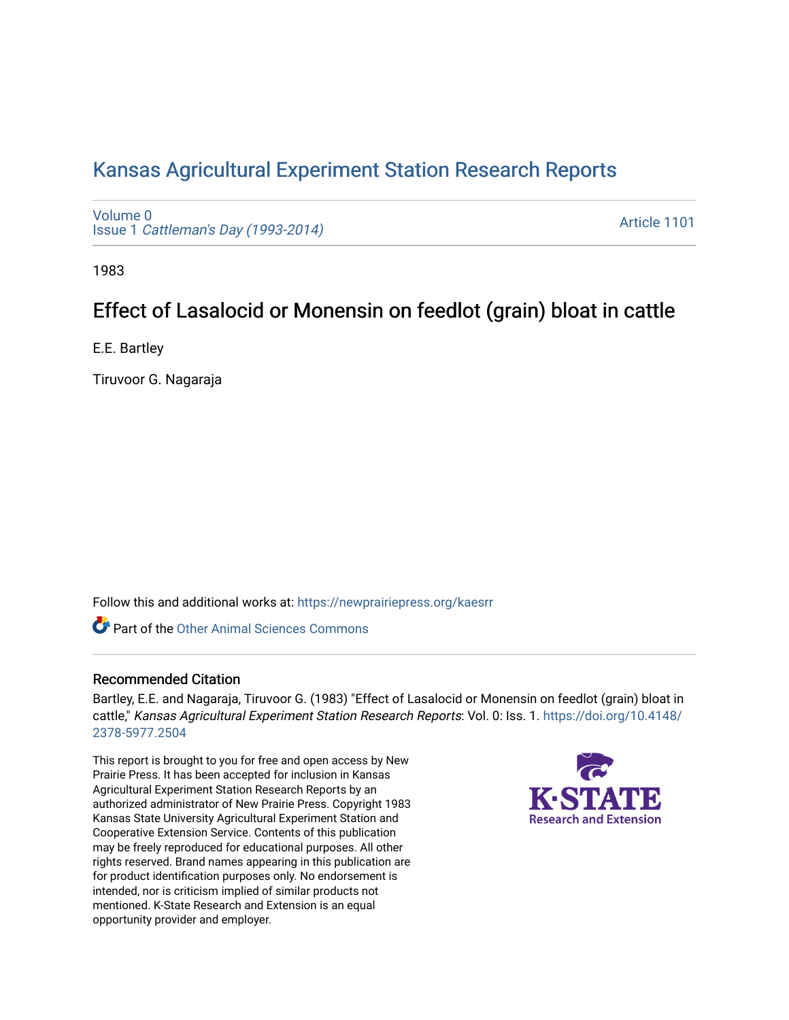## [Kansas Agricultural Experiment Station Research Reports](https://newprairiepress.org/kaesrr)

[Volume 0](https://newprairiepress.org/kaesrr/vol0) Issue 1 [Cattleman's Day \(1993-2014\)](https://newprairiepress.org/kaesrr/vol0/iss1) 

[Article 1101](https://newprairiepress.org/kaesrr/vol0/iss1/1101) 

1983

# Effect of Lasalocid or Monensin on feedlot (grain) bloat in cattle

E.E. Bartley

Tiruvoor G. Nagaraja

Follow this and additional works at: [https://newprairiepress.org/kaesrr](https://newprairiepress.org/kaesrr?utm_source=newprairiepress.org%2Fkaesrr%2Fvol0%2Fiss1%2F1101&utm_medium=PDF&utm_campaign=PDFCoverPages) 

**C** Part of the [Other Animal Sciences Commons](http://network.bepress.com/hgg/discipline/82?utm_source=newprairiepress.org%2Fkaesrr%2Fvol0%2Fiss1%2F1101&utm_medium=PDF&utm_campaign=PDFCoverPages)

#### Recommended Citation

Bartley, E.E. and Nagaraja, Tiruvoor G. (1983) "Effect of Lasalocid or Monensin on feedlot (grain) bloat in cattle," Kansas Agricultural Experiment Station Research Reports: Vol. 0: Iss. 1. [https://doi.org/10.4148/](https://doi.org/10.4148/2378-5977.2504) [2378-5977.2504](https://doi.org/10.4148/2378-5977.2504) 

This report is brought to you for free and open access by New Prairie Press. It has been accepted for inclusion in Kansas Agricultural Experiment Station Research Reports by an authorized administrator of New Prairie Press. Copyright 1983 Kansas State University Agricultural Experiment Station and Cooperative Extension Service. Contents of this publication may be freely reproduced for educational purposes. All other rights reserved. Brand names appearing in this publication are for product identification purposes only. No endorsement is intended, nor is criticism implied of similar products not mentioned. K-State Research and Extension is an equal opportunity provider and employer.

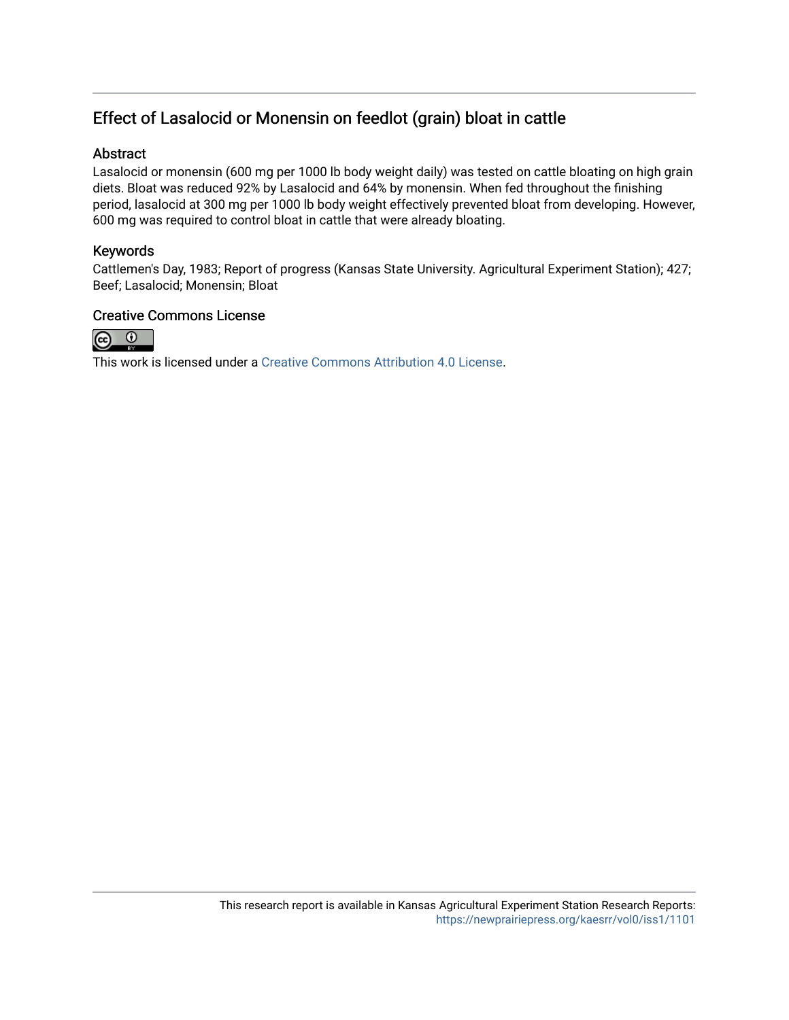## Effect of Lasalocid or Monensin on feedlot (grain) bloat in cattle

## Abstract

Lasalocid or monensin (600 mg per 1000 lb body weight daily) was tested on cattle bloating on high grain diets. Bloat was reduced 92% by Lasalocid and 64% by monensin. When fed throughout the finishing period, lasalocid at 300 mg per 1000 lb body weight effectively prevented bloat from developing. However, 600 mg was required to control bloat in cattle that were already bloating.

## Keywords

Cattlemen's Day, 1983; Report of progress (Kansas State University. Agricultural Experiment Station); 427; Beef; Lasalocid; Monensin; Bloat

### Creative Commons License



This work is licensed under a [Creative Commons Attribution 4.0 License](https://creativecommons.org/licenses/by/4.0/).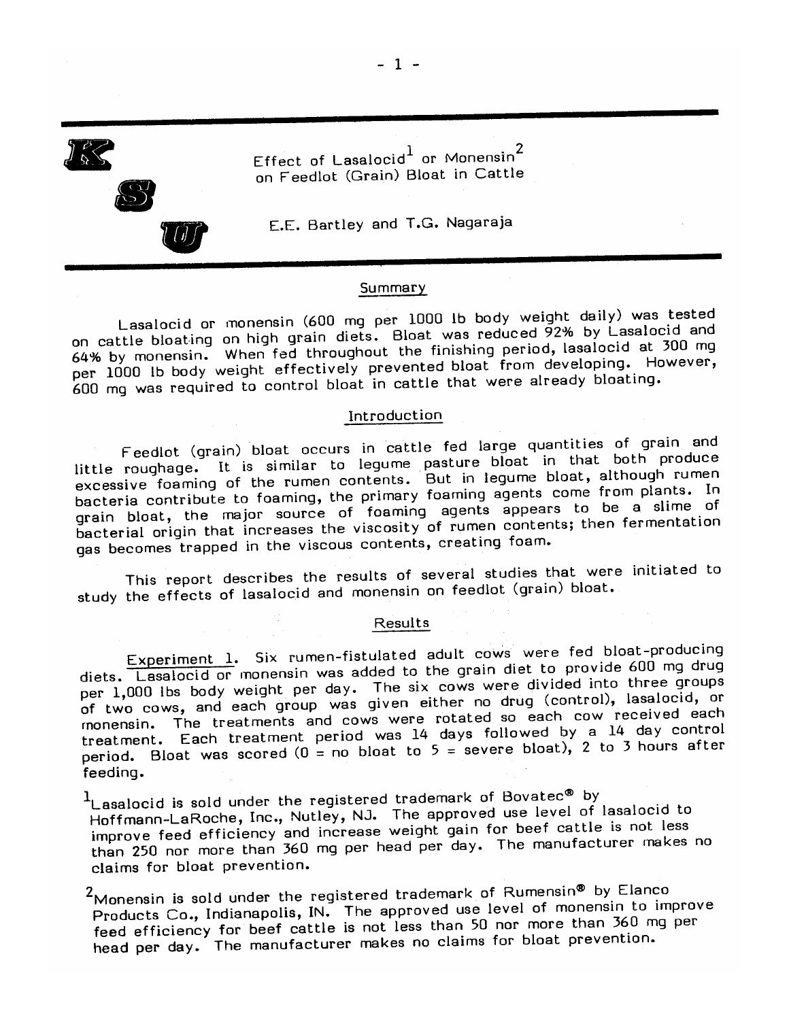Effect of Lasalocid<sup>1</sup> or Monensin<sup>2</sup> on Feedlot (Grain) Bloat in Cattle



E.E. Bartley and T.G. Nagaraja

#### Summary

Lasalocid or monensin (600 mg per 1000 lb body weight daily) was tested on cattle bloating on high grain diets. Bloat was reduced 92% by Lasalocid and 64% by monensin. When fed throughout the finishing period, lasalocid at 300 mg per 1000 lb body weight effectively prevented bloat from developing. However, 600 mg was required to control bloat in cattle that were already bloating.

#### Introduction

Feedlot (grain) bloat occurs in cattle fed large quantities of grain and little roughage. It is similar to legume pasture bloat in that both produce excessive foaming of the rumen contents. But in legume bloat, although rumen bacteria contribute to foaming, the primary foaming agents come from plants. In grain bloat, the major source of foaming agents appears to be a slime of bacterial origin that increases the viscosity of rumen contents; then fermentation gas becomes trapped in the viscous contents, creating foam.

This report describes the results of several studies that were initiated to study the effects of lasalocid and monensin on feedlot (grain) bloat.

#### **Results**

Experiment 1. Six rumen-fistulated adult cows were fed bloat-producing diets. Lasalocid or monensin was added to the grain diet to provide 600 mg drug per 1,000 lbs body weight per day. The six cows were divided into three groups of two cows, and each group was given either no drug (control), lasalocid, or monensin. The treatments and cows were rotated so each cow received each treatment. Each treatment period was 14 days followed by a 14 day control period. Bloat was scored ( $0 =$  no bloat to  $5 =$  severe bloat), 2 to 3 hours after feeding.

<sup>1</sup>Lasalocid is sold under the registered trademark of Bovatec® by Hoffmann-LaRoche, Inc., Nutley, NJ. The approved use level of lasalocid to improve feed efficiency and increase weight gain for beef cattle is not less than 250 nor more than 360 mg per head per day. The manufacturer makes no claims for bloat prevention.

<sup>2</sup>Monensin is sold under the registered trademark of Rumensin® by Elanco Products Co., Indianapolis, IN. The approved use level of monensin to improve feed efficiency for beef cattle is not less than 50 nor more than 360 mg per head per day. The manufacturer makes no claims for bloat prevention.

 $-1 -$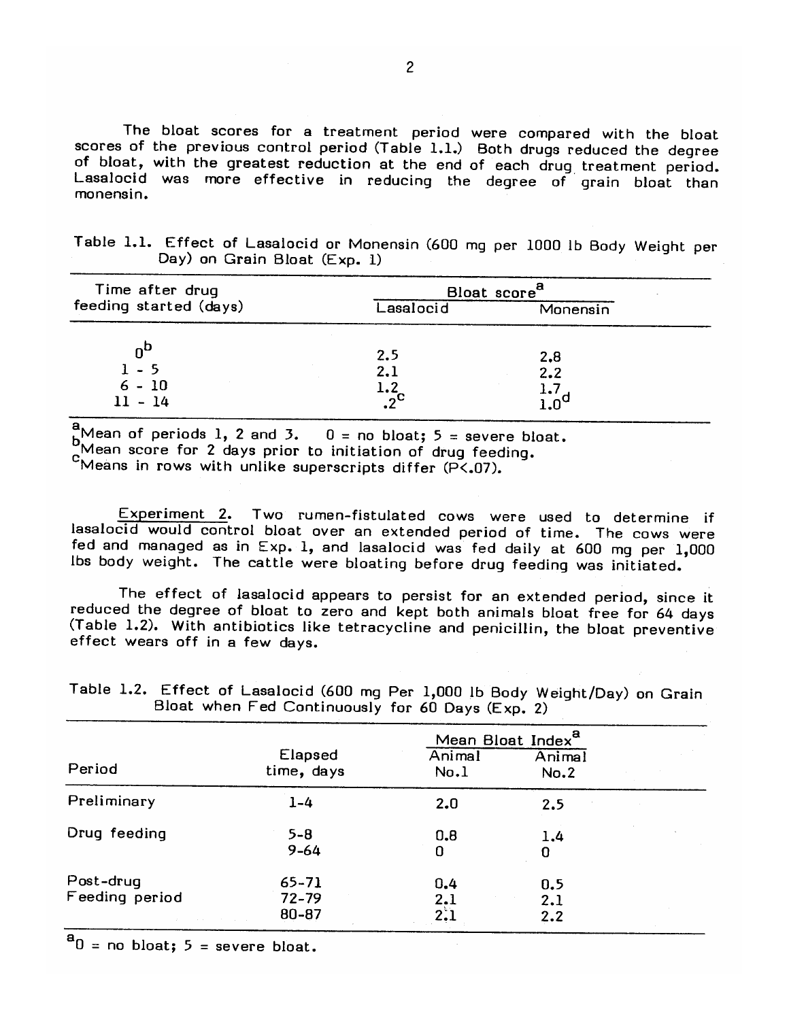The bloat scores for a treatment period were compared with the bloat scores of the previous control period (Table 1.1.) Both drugs reduced the degree of bloat, with the greatest reduction at the end of each drug treatment period. Lasalocid was more effective in reducing the degree of grain bloat than monensin.

|  |  |                              | Table 1.1. Effect of Lasalocid or Monensin (600 mq per 1000 lb Body Weight per |  |  |  |  |
|--|--|------------------------------|--------------------------------------------------------------------------------|--|--|--|--|
|  |  | Day) on Grain Bloat (Exp. 1) |                                                                                |  |  |  |  |

| Time after drug           | Bloat score <sup>8</sup>    |            |  |  |
|---------------------------|-----------------------------|------------|--|--|
| feeding started (days)    | Lasalocid                   | Monensin   |  |  |
| $0^\mathsf{C}$<br>$1 - 5$ | 2.5<br>2.1                  | 2,8<br>2.2 |  |  |
| $6 - 10$<br>$11 - 14$     | 1.2<br>$\cdot$ <sup>2</sup> | 1.7        |  |  |

 $^{a}_{b}$ Mean of periods 1, 2 and 3.  $0 =$  no bloat;  $5 =$  severe bloat.

Mean score for 2 days prior to initiation of drug feeding.

"Means in rows with unlike superscripts differ (P<.07).

Experiment 2. Two rumen-fistulated cows were used to determine if lasalocid would control bloat over an extended period of time. The cows were fed and managed as in Exp. 1, and lasalocid was fed daily at 600 mg per 1,000 Ibs body weight. The cattle were bloating before drug feeding was initiated.

The effect of lasalocid appears to persist for an extended period, since it reduced the degree of bloat to zero and kept both animals bloat free for 64 days (Table 1.2). With antibiotics like tetracycline and penicillin, the bloat preventive effect wears off in a few days.

|                             |                                 | Mean Bloat Index <sup>a</sup> |                   |  |
|-----------------------------|---------------------------------|-------------------------------|-------------------|--|
| Period                      | Elapsed<br>time, days           | Animal<br>No.1                | Animal<br>No.2    |  |
| Preliminary                 | $1 - 4$                         | 2.0                           | 2.5               |  |
| Drug feeding                | $5 - 8$<br>$9 - 64$             | 0,8<br>0                      | 1,4<br>0          |  |
| Post-drug<br>Feeding period | $65 - 71$<br>$72 - 79$<br>80-87 | 0,4<br>2.1<br>2.1             | 0,5<br>2.1<br>2.2 |  |

Table 1.2. Effect of Lasalocid (600 mg Per 1,000 lb Body Weight/Day) on Grain Bloat when Fed Continuously for  $60$  Days  $(Fyn 2)$ 

 $a_0$  = no bloat; 5 = severe bloat.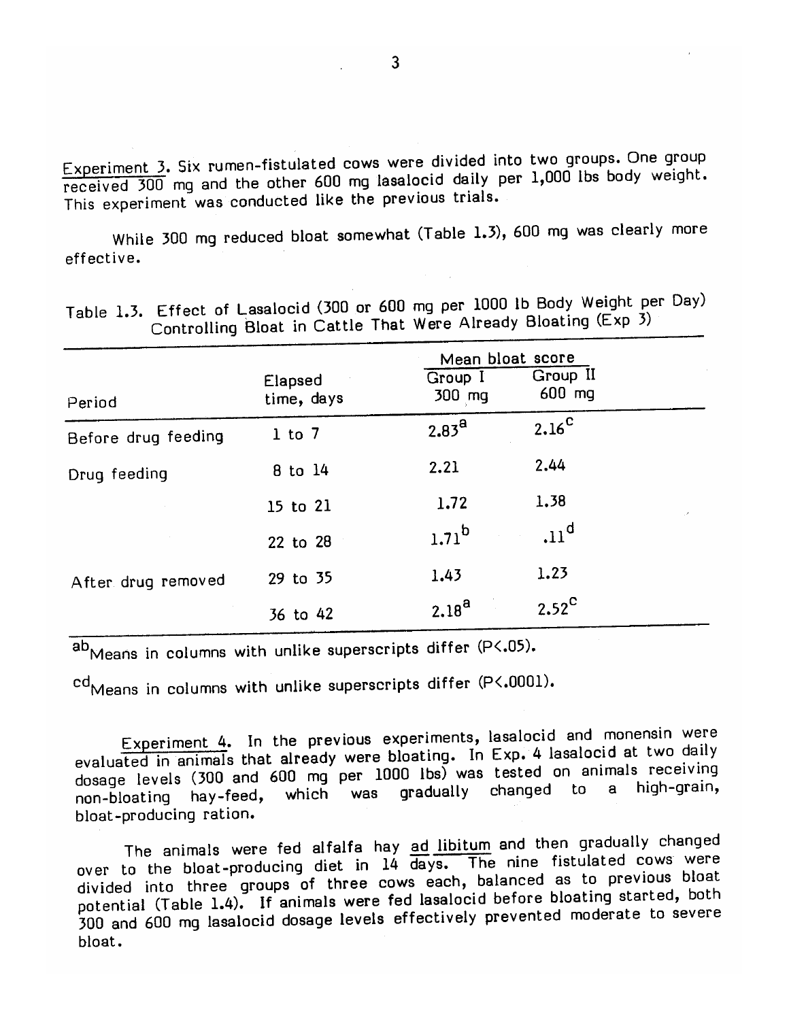Experiment 3. Six rumen-fistulated cows were divided into two groups. One group received 300 mg and the other 600 mg lasalocid daily per 1,000 lbs body weight. This experiment was conducted like the previous trials.

While 300 mg reduced bloat somewhat (Table 1.3), 600 mg was clearly more effective.

|                     |                       | Mean bloat score  |                    |    |
|---------------------|-----------------------|-------------------|--------------------|----|
| Period              | Elapsed<br>time, days | Group I<br>300 mg | Group II<br>600 mg |    |
| Before drug feeding | $1$ to $7$            | 2.83 <sup>a</sup> | $2.16^{\circ}$     |    |
| Drug feeding        | 8 to 14               | 2.21              | 2.44               |    |
|                     | 15 to 21              | 1.72              | 1.38               | ×. |
|                     | 22 to 28              | $1.71^{b}$        | .11 <sup>d</sup>   |    |
| After drug removed  | 29 to 35              | 1.43              | 1.23               |    |
|                     | 36 to 42              | $2.18^{a}$        | $2.52^{\circ}$     |    |

Table 1.3. Effect of Lasalocid (300 or 600 mg per 1000 lb Body Weight per Day) Controlling Bloat in Cattle That Were Already Bloating (Exp 3)

ab<sub>Means</sub> in columns with unlike superscripts differ (P<.05).

cd<sub>Means</sub> in columns with unlike superscripts differ (P<.0001).

Experiment 4. In the previous experiments, lasalocid and monensin were evaluated in animals that already were bloating. In Exp. 4 lasalocid at two daily dosage levels (300 and 600 mg per 1000 lbs) was tested on animals receiving gradually changed to a high-grain, which was hay-feed, non-bloating bloat-producing ration.

The animals were fed alfalfa hay ad libitum and then gradually changed over to the bloat-producing diet in 14 days. The nine fistulated cows were divided into three groups of three cows each, balanced as to previous bloat potential (Table 1.4). If animals were fed lasalocid before bloating started, both 300 and 600 mg lasalocid dosage levels effectively prevented moderate to severe bloat.